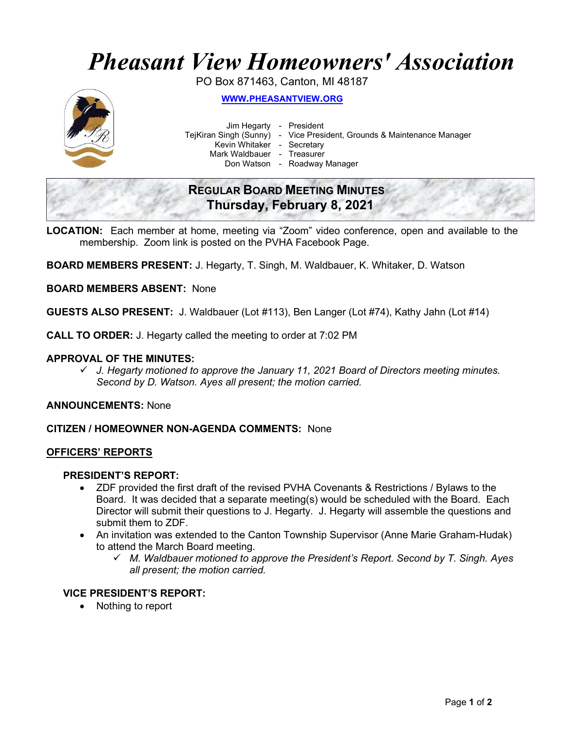# Pheasant View Homeowners' Association

PO Box 871463, Canton, MI 48187



WWW.PHEASANTVIEW.ORG

Jim Hegarty - President

TejKiran Singh (Sunny) - Vice President, Grounds & Maintenance Manager

Kevin Whitaker - Secretary

Mark Waldbauer - Treasurer

Don Watson - Roadway Manager

# REGULAR BOARD MEETING MINUTES Thursday, February 8, 2021

LOCATION: Each member at home, meeting via "Zoom" video conference, open and available to the membership. Zoom link is posted on the PVHA Facebook Page.

BOARD MEMBERS PRESENT: J. Hegarty, T. Singh, M. Waldbauer, K. Whitaker, D. Watson

BOARD MEMBERS ABSENT: None

GUESTS ALSO PRESENT: J. Waldbauer (Lot #113), Ben Langer (Lot #74), Kathy Jahn (Lot #14)

CALL TO ORDER: J. Hegarty called the meeting to order at 7:02 PM

## APPROVAL OF THE MINUTES:

 $\checkmark$  J. Hegarty motioned to approve the January 11, 2021 Board of Directors meeting minutes. Second by D. Watson. Ayes all present; the motion carried.

ANNOUNCEMENTS: None

CITIZEN / HOMEOWNER NON-AGENDA COMMENTS: None

#### OFFICERS' REPORTS

# PRESIDENT'S REPORT:

- ZDF provided the first draft of the revised PVHA Covenants & Restrictions / Bylaws to the Board. It was decided that a separate meeting(s) would be scheduled with the Board. Each Director will submit their questions to J. Hegarty. J. Hegarty will assemble the questions and submit them to ZDF.
- An invitation was extended to the Canton Township Supervisor (Anne Marie Graham-Hudak) to attend the March Board meeting.
	- $\checkmark$  M. Waldbauer motioned to approve the President's Report. Second by T. Singh. Ayes all present; the motion carried.

# VICE PRESIDENT'S REPORT:

• Nothing to report